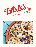

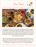Our Food





Located just steps from the beach, our menu focuses on sustainably-caught seafood, alongside seasonal vegetables, a variety of tacos on organic, heirloom Masienda corn tortillas made with our own masa, and more. Executive Chef Juan Robles showcases different regions of his native Mexico through comforting dishes that showcase the very best, organic ingredients from the nearby Santa Monica Farmers' Market and from regional fishers, farmers and ranchers whose responsible practices give back to the ocean and land.

Order your favorite Tallula's dishes, available in party-friendly hot and cold plates, for your next gathering. Pick from appetizers like Nachos "Sencillo" or Chicken Taquitos, to a variety of Tacos and Quesadillas for a D.I.Y. taco bar, plus more. Catering Orders reqire at least 48 hours-notice and can be placed by e-mailing events@tallulasrestaurant.com or calling 310-526-0027.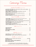Catering Menu

starters & snacks (serves 10-12)

| guacamole, salsa & chips (vegan, gf) avocado, lime, cilantro, red onion, jalapeno 60                                           |
|--------------------------------------------------------------------------------------------------------------------------------|
|                                                                                                                                |
| nachos 'sencillo' (v) cotija & fontina cheese, spicy giardiniera, crema, salsa 60<br>add organic chicken or grass-fed beef +20 |
| tallula's caesar (gf) anchovy, garlic, lemon, pumpkin seeds, pecorino 80                                                       |
|                                                                                                                                |
| <b>beef-pork meatballs</b> (gf) creamy polenta, salsa veracruz, fresh herbs 80                                                 |

tacos & tortillas (serves 12-15)

| <b>market veggie</b> (vq, gf) crispy delicata squash, parsnip puree, braised kale, red onion 80     |
|-----------------------------------------------------------------------------------------------------|
| <b>organic chicken amarillo</b> (gf) red onion, cilantro, salsa verde 85                            |
| <b>carne asada</b> (gf) tomatillo, pickled red onion, avocado, house salsa macha, benne seeds. . 90 |
|                                                                                                     |
| add organic chicken or grass-fed beef +20                                                           |
| chicken enchiladas suizas (gf) creamy salsa verde, jack cheese, salsa semilla. 80                   |

## sides (serves 10-12)

### desserts (serves 10-12)

| mini bunuelo bites crispy flour tortillas, peanut butter mousse, seasonal jam 50 |  |
|----------------------------------------------------------------------------------|--|

## drinks (non-alcoholic & 21+)

A 4% health charge and 3% service fee will be added to all catering orders. Don't forget to ask us about our seasonal specials. Thank you for supporting Tallula's!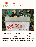

Taco Cart



Hosting a fun, outdoor event? Our Taco Cart is extra special, because we make our own masa from heirloom, non-GMO corn for our fresh tortillas and cook with organic vegetables, grass-fed meats and sustainably-fished seafood. Ideal for dinner parties, corporate off-sites, block parties, birthday celebrations and more, our team serves up a variety of tacos and quesadillas, while our bartenders shake up margaritas. Taco Cart requests should be placed within 2 weeks-notice by

e-mailing events@tallulasrestaurant.com or calling 310-526-0027.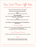Taco Cart Menu: Off-Site

\$55 per person for food (+ labor, tax, 21% service fee)

#### **Chips, Salsa, Guacamole, Pickled Vegetables**

**Salad** Choice of: Gem Caesar OR Seasonal Market Lettuces Salad

**Tacos & Quesadillas**  Choice of Three: Organic Chicken, Grass-Fed Ground Beef or Carne Asade, Pork Carnitas, or Market Veggies

**Dessert** Choice of: Spiced Chocolate Mousse Cups OR Seasonal Flan Bites

#### **Ask us about our seasonal canapes to add on for light bites as guests arrive!**

Beverage Package

\$50 per person for 3 hours of service: includes Tallula's Margaritas, Beer & Wine \$15 per person for each additional hour +\$5 per person per hour for a second specialty cocktail

Food & Beverage Minimum

\$3,500 and all prices subject to labor, transportation charge, tax and gratuity

Labor

\$350 for parties of up to 30 guests, \$100 for each bartender. Groups over 30, please inquire for additional labor charges.